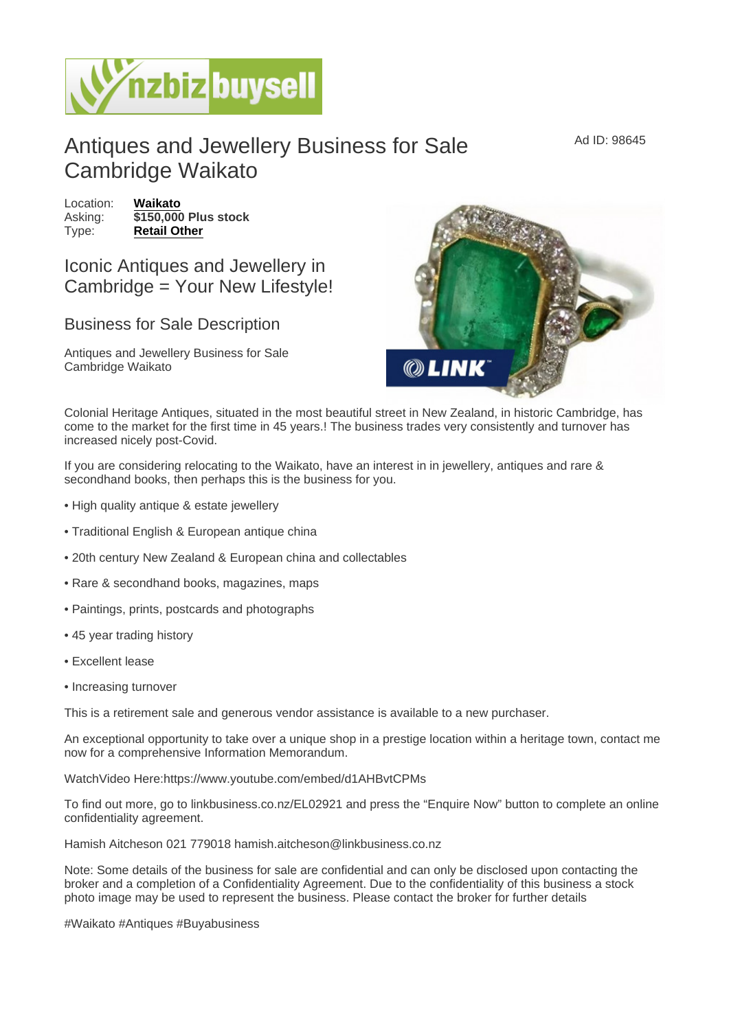## Antiques and Jewellery Business for Sale Cambridge Waikato

Location: [Waikato](https://www.nzbizbuysell.co.nz/businesses-for-sale/location/Waikato) Asking:  $\sqrt{3150,000}$  Plus stock Type: [Retail Other](https://www.nzbizbuysell.co.nz/businesses-for-sale/Retail-Other/New-Zealand)

Iconic Antiques and Jewellery in Cambridge = Your New Lifestyle!

## Business for Sale Description

Antiques and Jewellery Business for Sale Cambridge Waikato

Colonial Heritage Antiques, situated in the most beautiful street in New Zealand, in historic Cambridge, has come to the market for the first time in 45 years.! The business trades very consistently and turnover has increased nicely post-Covid.

If you are considering relocating to the Waikato, have an interest in in jewellery, antiques and rare & secondhand books, then perhaps this is the business for you.

- High quality antique & estate jewellery
- Traditional English & European antique china
- 20th century New Zealand & European china and collectables
- Rare & secondhand books, magazines, maps
- Paintings, prints, postcards and photographs
- 45 year trading history
- Excellent lease
- Increasing turnover

This is a retirement sale and generous vendor assistance is available to a new purchaser.

An exceptional opportunity to take over a unique shop in a prestige location within a heritage town, contact me now for a comprehensive Information Memorandum.

WatchVideo Here:https://www.youtube.com/embed/d1AHBvtCPMs

To find out more, go to linkbusiness.co.nz/EL02921 and press the "Enquire Now" button to complete an online confidentiality agreement.

Hamish Aitcheson 021 779018 hamish.aitcheson@linkbusiness.co.nz

Note: Some details of the business for sale are confidential and can only be disclosed upon contacting the broker and a completion of a Confidentiality Agreement. Due to the confidentiality of this business a stock photo image may be used to represent the business. Please contact the broker for further details

#Waikato #Antiques #Buyabusiness